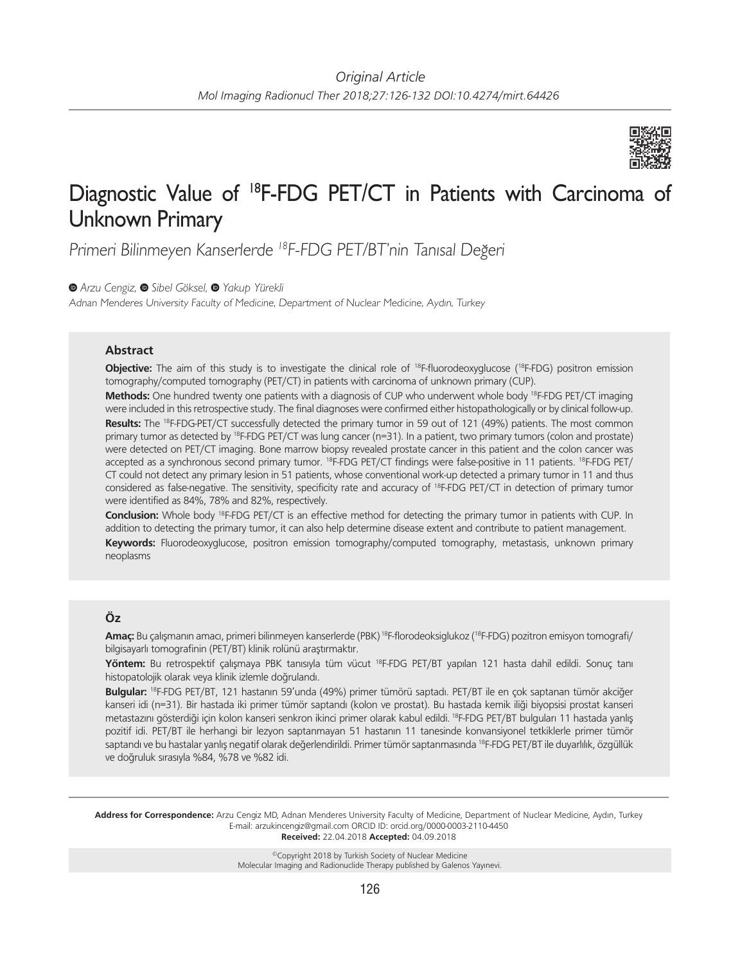

# Diagnostic Value of 18F-FDG PET/CT in Patients with Carcinoma of Unknown Primary

Primeri Bilinmeyen Kanserlerde <sup>18</sup>F-FDG PET/BT'nin Tanısal Değeri

*Arzu Cengiz,Sibel Göksel,Yakup Yürekli*

Adnan Menderes University Faculty of Medicine, Department of Nuclear Medicine, Aydın, Turkey

## **Abstract**

**Objective:** The aim of this study is to investigate the clinical role of <sup>18</sup>F-fluorodeoxyglucose (<sup>18</sup>F-FDG) positron emission tomography/computed tomography (PET/CT) in patients with carcinoma of unknown primary (CUP).

**Methods:** One hundred twenty one patients with a diagnosis of CUP who underwent whole body 18F-FDG PET/CT imaging were included in this retrospective study. The final diagnoses were confirmed either histopathologically or by clinical follow-up. Results: The <sup>18</sup>F-FDG-PET/CT successfully detected the primary tumor in 59 out of 121 (49%) patients. The most common primary tumor as detected by 18F-FDG PET/CT was lung cancer (n=31). In a patient, two primary tumors (colon and prostate) were detected on PET/CT imaging. Bone marrow biopsy revealed prostate cancer in this patient and the colon cancer was accepted as a synchronous second primary tumor. 18F-FDG PET/CT findings were false-positive in 11 patients. 18F-FDG PET/ CT could not detect any primary lesion in 51 patients, whose conventional work-up detected a primary tumor in 11 and thus considered as false-negative. The sensitivity, specificity rate and accuracy of 18F-FDG PET/CT in detection of primary tumor were identified as 84%, 78% and 82%, respectively.

**Conclusion:** Whole body 18F-FDG PET/CT is an effective method for detecting the primary tumor in patients with CUP. In addition to detecting the primary tumor, it can also help determine disease extent and contribute to patient management. **Keywords:** Fluorodeoxyglucose, positron emission tomography/computed tomography, metastasis, unknown primary neoplasms

# **Öz**

**Amaç:** Bu çalışmanın amacı, primeri bilinmeyen kanserlerde (PBK) 18F-florodeoksiglukoz (18F-FDG) pozitron emisyon tomografi/ bilgisayarlı tomografinin (PET/BT) klinik rolünü araştırmaktır.

**Yöntem:** Bu retrospektif çalışmaya PBK tanısıyla tüm vücut 18F-FDG PET/BT yapılan 121 hasta dahil edildi. Sonuç tanı histopatolojik olarak veya klinik izlemle doğrulandı.

**Bulgular:** 18F-FDG PET/BT, 121 hastanın 59'unda (49%) primer tümörü saptadı. PET/BT ile en çok saptanan tümör akciğer kanseri idi (n=31). Bir hastada iki primer tümör saptandı (kolon ve prostat). Bu hastada kemik iliği biyopsisi prostat kanseri metastazını gösterdiği için kolon kanseri senkron ikinci primer olarak kabul edildi. 18F-FDG PET/BT bulguları 11 hastada yanlış pozitif idi. PET/BT ile herhangi bir lezyon saptanmayan 51 hastanın 11 tanesinde konvansiyonel tetkiklerle primer tümör saptandı ve bu hastalar yanlış negatif olarak değerlendirildi. Primer tümör saptanmasında <sup>18</sup>F-FDG PET/BT ile duyarlılık, özgüllük ve doğruluk sırasıyla %84, %78 ve %82 idi.

**Address for Correspondence:** Arzu Cengiz MD, Adnan Menderes University Faculty of Medicine, Department of Nuclear Medicine, Aydın, Turkey E-mail: arzukincengiz@gmail.com ORCID ID: orcid.org/0000-0003-2110-4450 **Received:** 22.04.2018 **Accepted:** 04.09.2018

> ©Copyright 2018 by Turkish Society of Nuclear Medicine Molecular Imaging and Radionuclide Therapy published by Galenos Yayınevi.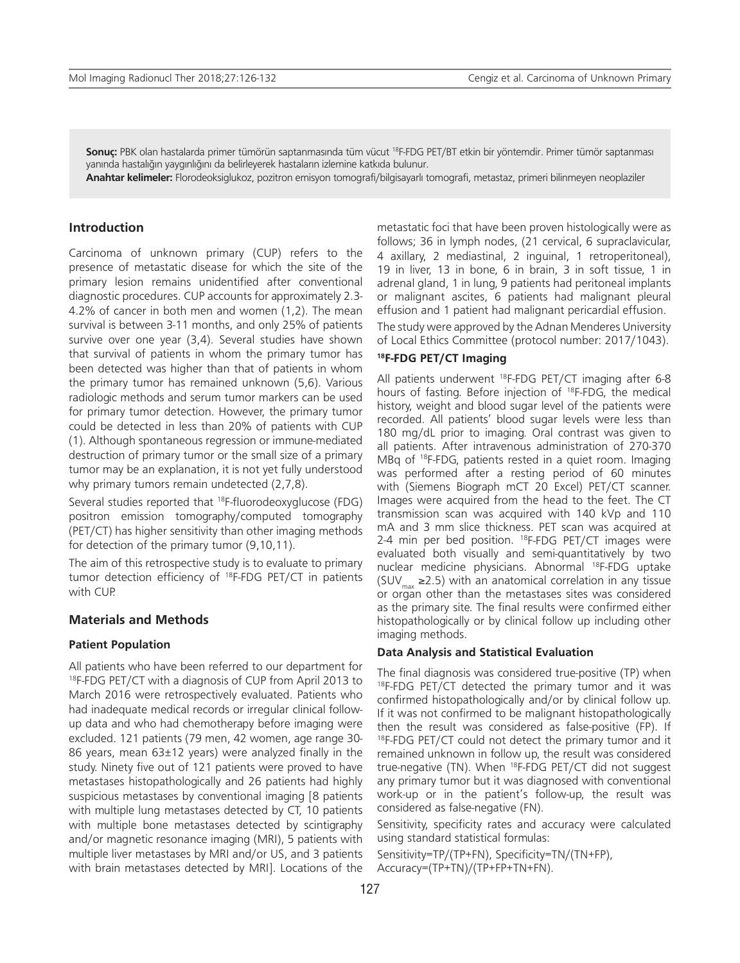**Sonuç:** PBK olan hastalarda primer tümörün saptanmasında tüm vücut 18F-FDG PET/BT etkin bir yöntemdir. Primer tümör saptanması yanında hastalığın yaygınlığını da belirleyerek hastaların izlemine katkıda bulunur.

**Anahtar kelimeler:** Florodeoksiglukoz, pozitron emisyon tomografi/bilgisayarlı tomografi, metastaz, primeri bilinmeyen neoplaziler

#### **Introduction**

Carcinoma of unknown primary (CUP) refers to the presence of metastatic disease for which the site of the primary lesion remains unidentified after conventional diagnostic procedures. CUP accounts for approximately 2.3- 4.2% of cancer in both men and women (1,2). The mean survival is between 3-11 months, and only 25% of patients survive over one year (3,4). Several studies have shown that survival of patients in whom the primary tumor has been detected was higher than that of patients in whom the primary tumor has remained unknown (5,6). Various radiologic methods and serum tumor markers can be used for primary tumor detection. However, the primary tumor could be detected in less than 20% of patients with CUP (1). Although spontaneous regression or immune-mediated destruction of primary tumor or the small size of a primary tumor may be an explanation, it is not yet fully understood why primary tumors remain undetected (2,7,8).

Several studies reported that 18F-fluorodeoxyglucose (FDG) positron emission tomography/computed tomography (PET/CT) has higher sensitivity than other imaging methods for detection of the primary tumor (9,10,11).

The aim of this retrospective study is to evaluate to primary tumor detection efficiency of 18F-FDG PET/CT in patients with CUP.

#### **Materials and Methods**

#### **Patient Population**

All patients who have been referred to our department for <sup>18</sup>F-FDG PET/CT with a diagnosis of CUP from April 2013 to March 2016 were retrospectively evaluated. Patients who had inadequate medical records or irregular clinical followup data and who had chemotherapy before imaging were excluded. 121 patients (79 men, 42 women, age range 30- 86 years, mean 63±12 years) were analyzed finally in the study. Ninety five out of 121 patients were proved to have metastases histopathologically and 26 patients had highly suspicious metastases by conventional imaging [8 patients with multiple lung metastases detected by CT, 10 patients with multiple bone metastases detected by scintigraphy and/or magnetic resonance imaging (MRI), 5 patients with multiple liver metastases by MRI and/or US, and 3 patients with brain metastases detected by MRI]. Locations of the metastatic foci that have been proven histologically were as follows; 36 in lymph nodes, (21 cervical, 6 supraclavicular, 4 axillary, 2 mediastinal, 2 inguinal, 1 retroperitoneal), 19 in liver, 13 in bone, 6 in brain, 3 in soft tissue, 1 in adrenal gland, 1 in lung, 9 patients had peritoneal implants or malignant ascites, 6 patients had malignant pleural effusion and 1 patient had malignant pericardial effusion.

The study were approved by the Adnan Menderes University of Local Ethics Committee (protocol number: 2017/1043).

### **18F-FDG PET/CT Imaging**

All patients underwent <sup>18</sup>F-FDG PET/CT imaging after 6-8 hours of fasting. Before injection of 18F-FDG, the medical history, weight and blood sugar level of the patients were recorded. All patients' blood sugar levels were less than 180 mg/dL prior to imaging. Oral contrast was given to all patients. After intravenous administration of 270-370 MBq of 18F-FDG, patients rested in a quiet room. Imaging was performed after a resting period of 60 minutes with (Siemens Biograph mCT 20 Excel) PET/CT scanner. Images were acquired from the head to the feet. The CT transmission scan was acquired with 140 kVp and 110 mA and 3 mm slice thickness. PET scan was acquired at 2-4 min per bed position. 18F-FDG PET/CT images were evaluated both visually and semi-quantitatively by two nuclear medicine physicians. Abnormal 18F-FDG uptake (SUV<sub>max</sub> ≥2.5) with an anatomical correlation in any tissue or organ other than the metastases sites was considered as the primary site. The final results were confirmed either histopathologically or by clinical follow up including other imaging methods.

#### **Data Analysis and Statistical Evaluation**

The final diagnosis was considered true-positive (TP) when 18F-FDG PET/CT detected the primary tumor and it was confirmed histopathologically and/or by clinical follow up. If it was not confirmed to be malignant histopathologically then the result was considered as false-positive (FP). If <sup>18</sup>F-FDG PET/CT could not detect the primary tumor and it remained unknown in follow up, the result was considered true-negative (TN). When 18F-FDG PET/CT did not suggest any primary tumor but it was diagnosed with conventional work-up or in the patient's follow-up, the result was considered as false-negative (FN).

Sensitivity, specificity rates and accuracy were calculated using standard statistical formulas:

Sensitivity=TP/(TP+FN), Specificity=TN/(TN+FP), Accuracy=(TP+TN)/(TP+FP+TN+FN).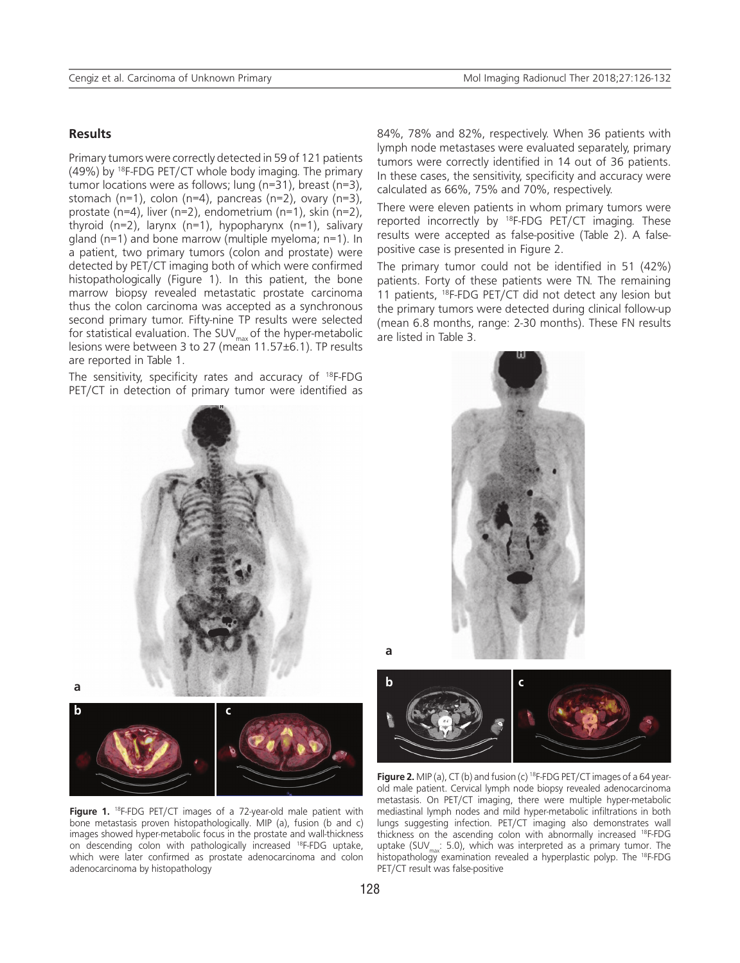#### **Results**

Primary tumors were correctly detected in 59 of 121 patients (49%) by 18F-FDG PET/CT whole body imaging. The primary tumor locations were as follows; lung (n=31), breast (n=3), stomach (n=1), colon (n=4), pancreas (n=2), ovary (n=3), prostate (n=4), liver (n=2), endometrium (n=1), skin (n=2), thyroid (n=2), larynx (n=1), hypopharynx (n=1), salivary gland (n=1) and bone marrow (multiple myeloma; n=1). In a patient, two primary tumors (colon and prostate) were detected by PET/CT imaging both of which were confirmed histopathologically (Figure 1). In this patient, the bone marrow biopsy revealed metastatic prostate carcinoma thus the colon carcinoma was accepted as a synchronous second primary tumor. Fifty-nine TP results were selected for statistical evaluation. The SUV $_{\text{max}}$  of the hyper-metabolic lesions were between 3 to 27 (mean 11.57±6.1). TP results are reported in Table 1.

The sensitivity, specificity rates and accuracy of <sup>18</sup>F-FDG PET/CT in detection of primary tumor were identified as 84%, 78% and 82%, respectively. When 36 patients with lymph node metastases were evaluated separately, primary tumors were correctly identified in 14 out of 36 patients. In these cases, the sensitivity, specificity and accuracy were calculated as 66%, 75% and 70%, respectively.

There were eleven patients in whom primary tumors were reported incorrectly by 18F-FDG PET/CT imaging. These results were accepted as false-positive (Table 2). A falsepositive case is presented in Figure 2.

The primary tumor could not be identified in 51 (42%) patients. Forty of these patients were TN. The remaining 11 patients, 18F-FDG PET/CT did not detect any lesion but the primary tumors were detected during clinical follow-up (mean 6.8 months, range: 2-30 months). These FN results are listed in Table 3.





**a**

**b c**

Figure 1. <sup>18</sup>F-FDG PET/CT images of a 72-year-old male patient with bone metastasis proven histopathologically. MIP (a), fusion (b and c) images showed hyper-metabolic focus in the prostate and wall-thickness on descending colon with pathologically increased <sup>18</sup>F-FDG uptake, which were later confirmed as prostate adenocarcinoma and colon adenocarcinoma by histopathology



**Figure 2.** MIP (a), CT (b) and fusion (c) <sup>18</sup>F-FDG PET/CT images of a 64 yearold male patient. Cervical lymph node biopsy revealed adenocarcinoma metastasis. On PET/CT imaging, there were multiple hyper-metabolic mediastinal lymph nodes and mild hyper-metabolic infiltrations in both lungs suggesting infection. PET/CT imaging also demonstrates wall thickness on the ascending colon with abnormally increased 18F-FDG uptake (SUV<sub>max</sub>: 5.0), which was interpreted as a primary tumor. The histopathology examination revealed a hyperplastic polyp. The <sup>18</sup>F-FDG PET/CT result was false-positive

**a**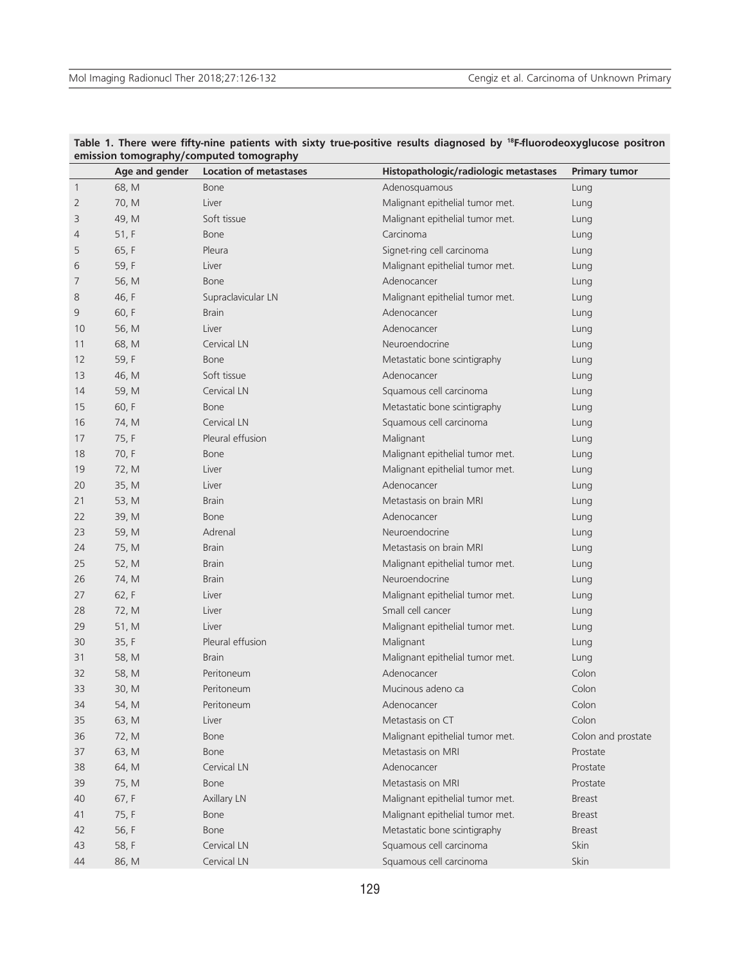|                         | Age and gender | ennssion tomography/compated tomography<br><b>Location of metastases</b> | Histopathologic/radiologic metastases | <b>Primary tumor</b> |
|-------------------------|----------------|--------------------------------------------------------------------------|---------------------------------------|----------------------|
| $\overline{\mathbf{1}}$ | 68, M          | Bone                                                                     | Adenosquamous                         | Lung                 |
| 2                       | 70, M          | Liver                                                                    | Malignant epithelial tumor met.       | Lung                 |
| 3                       | 49, M          | Soft tissue                                                              | Malignant epithelial tumor met.       | Lung                 |
| 4                       | 51, F          | <b>Bone</b>                                                              | Carcinoma                             | Lung                 |
| 5                       | 65, F          | Pleura                                                                   | Signet-ring cell carcinoma            | Lung                 |
| 6                       | 59, F          | Liver                                                                    | Malignant epithelial tumor met.       | Lung                 |
| 7                       | 56, M          | <b>Bone</b>                                                              | Adenocancer                           | Lung                 |
| 8                       | 46, F          | Supraclavicular LN                                                       | Malignant epithelial tumor met.       | Lung                 |
| 9                       | 60, F          | <b>Brain</b>                                                             | Adenocancer                           | Lung                 |
| 10                      | 56, M          | Liver                                                                    | Adenocancer                           | Lung                 |
| 11                      | 68, M          | Cervical LN                                                              | Neuroendocrine                        | Lung                 |
| 12                      | 59, F          | <b>Bone</b>                                                              | Metastatic bone scintigraphy          | Lung                 |
| 13                      | 46, M          | Soft tissue                                                              | Adenocancer                           | Lung                 |
| 14                      | 59, M          | Cervical LN                                                              | Squamous cell carcinoma               | Lung                 |
| 15                      | 60, F          | <b>Bone</b>                                                              | Metastatic bone scintigraphy          | Lung                 |
| 16                      | 74, M          | Cervical LN                                                              | Squamous cell carcinoma               | Lung                 |
| 17                      | 75, F          | Pleural effusion                                                         | Malignant                             | Lung                 |
| 18                      | 70, F          | Bone                                                                     | Malignant epithelial tumor met.       | Lung                 |
| 19                      | 72, M          | Liver                                                                    | Malignant epithelial tumor met.       | Lung                 |
| 20                      | 35, M          | Liver                                                                    | Adenocancer                           | Lung                 |
| 21                      | 53, M          | <b>Brain</b>                                                             | Metastasis on brain MRI               | Lung                 |
| 22                      | 39, M          | <b>Bone</b>                                                              | Adenocancer                           | Lung                 |
| 23                      | 59, M          | Adrenal                                                                  | Neuroendocrine                        | Lung                 |
| 24                      | 75, M          | <b>Brain</b>                                                             | Metastasis on brain MRI               | Lung                 |
| 25                      | 52, M          | <b>Brain</b>                                                             | Malignant epithelial tumor met.       | Lung                 |
| 26                      | 74, M          | <b>Brain</b>                                                             | Neuroendocrine                        | Lung                 |
| 27                      | 62, F          | Liver                                                                    | Malignant epithelial tumor met.       | Lung                 |
| 28                      | 72, M          | Liver                                                                    | Small cell cancer                     | Lung                 |
| 29                      | 51, M          | Liver                                                                    | Malignant epithelial tumor met.       | Lung                 |
| 30                      | 35, F          | Pleural effusion                                                         | Malignant                             | Lung                 |
| 31                      | 58, M          | <b>Brain</b>                                                             | Malignant epithelial tumor met.       | Lung                 |
| 32                      | 58, M          | Peritoneum                                                               | Adenocancer                           | Colon                |
| 33                      | 30, M          | Peritoneum                                                               | Mucinous adeno ca                     | Colon                |
| 34                      | 54, M          | Peritoneum                                                               | Adenocancer                           | Colon                |
| 35                      | 63, M          | Liver                                                                    | Metastasis on CT                      | Colon                |
| 36                      | 72, M          | Bone                                                                     | Malignant epithelial tumor met.       | Colon and prostate   |
| 37                      | 63, M          | Bone                                                                     | Metastasis on MRI                     | Prostate             |
| 38                      | 64, M          | Cervical LN                                                              | Adenocancer                           | Prostate             |
| 39                      | 75, M          | Bone                                                                     | Metastasis on MRI                     | Prostate             |
| 40                      | 67, F          | Axillary LN                                                              | Malignant epithelial tumor met.       | <b>Breast</b>        |
| 41                      | 75, F          | Bone                                                                     | Malignant epithelial tumor met.       | <b>Breast</b>        |
| 42                      | 56, F          | Bone                                                                     | Metastatic bone scintigraphy          | <b>Breast</b>        |
| 43                      | 58, F          | Cervical LN                                                              | Squamous cell carcinoma               | Skin                 |
| 44                      | 86, M          | Cervical LN                                                              | Squamous cell carcinoma               | Skin                 |

#### **Table 1. There were fifty-nine patients with sixty true-positive results diagnosed by 18F-fluorodeoxyglucose positron emission tomography/computed tomography**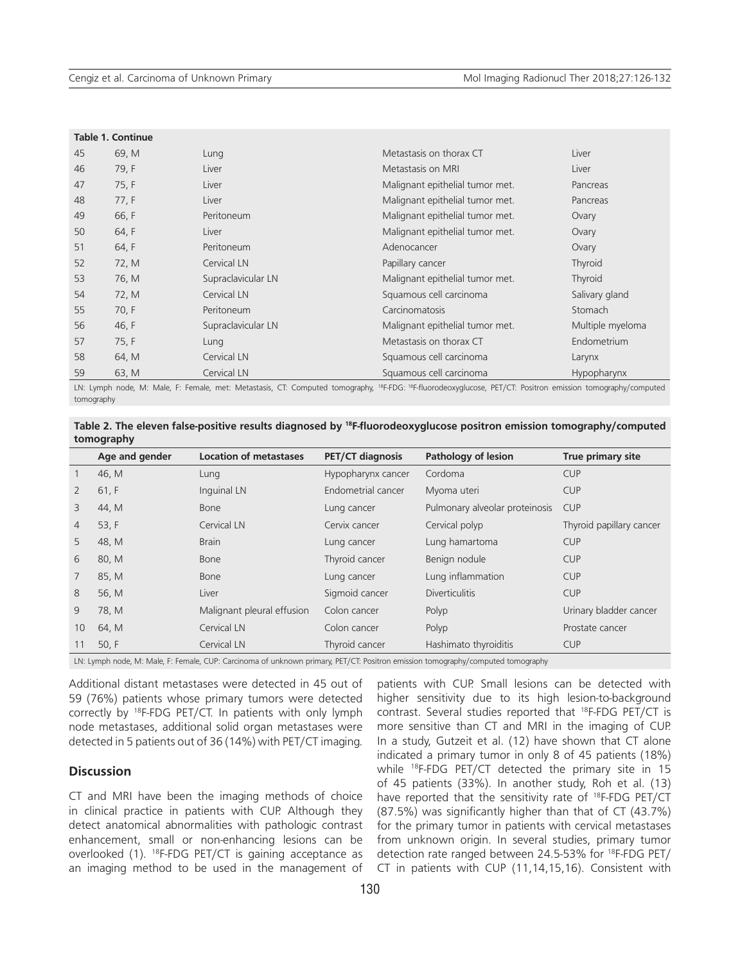| Table 1. Continue |       |                    |                                 |                  |
|-------------------|-------|--------------------|---------------------------------|------------------|
| 45                | 69, M | Lung               | Metastasis on thorax CT         | Liver            |
| 46                | 79, F | Liver              | Metastasis on MRI               | Liver            |
| 47                | 75, F | Liver              | Malignant epithelial tumor met. | Pancreas         |
| 48                | 77, F | Liver              | Malignant epithelial tumor met. | Pancreas         |
| 49                | 66, F | Peritoneum         | Malignant epithelial tumor met. | Ovary            |
| 50                | 64, F | Liver              | Malignant epithelial tumor met. | Ovary            |
| 51                | 64, F | Peritoneum         | Adenocancer                     | Ovary            |
| 52                | 72, M | Cervical LN        | Papillary cancer                | Thyroid          |
| 53                | 76, M | Supraclavicular LN | Malignant epithelial tumor met. | Thyroid          |
| 54                | 72, M | Cervical LN        | Squamous cell carcinoma         | Salivary gland   |
| 55                | 70, F | Peritoneum         | Carcinomatosis                  | Stomach          |
| 56                | 46, F | Supraclavicular LN | Malignant epithelial tumor met. | Multiple myeloma |
| 57                | 75, F | Lung               | Metastasis on thorax CT         | Endometrium      |
| 58                | 64, M | Cervical LN        | Squamous cell carcinoma         | Larynx           |
| 59                | 63, M | Cervical LN        | Squamous cell carcinoma         | Hypopharynx      |

LN: Lymph node, M: Male, F: Female, met: Metastasis, CT: Computed tomography, <sup>18</sup>F-FDG: <sup>18</sup>F-fluorodeoxyglucose, PET/CT: Positron emission tomography/computed tomography

| Table 2. The eleven false-positive results diagnosed by <sup>18</sup> F-fluorodeoxyglucose positron emission tomography/computed |  |  |
|----------------------------------------------------------------------------------------------------------------------------------|--|--|
| tomography                                                                                                                       |  |  |

|                | Age and gender                                                                                                                      | <b>Location of metastases</b> | <b>PET/CT diagnosis</b> | Pathology of lesion            | True primary site        |
|----------------|-------------------------------------------------------------------------------------------------------------------------------------|-------------------------------|-------------------------|--------------------------------|--------------------------|
|                | 46, M                                                                                                                               | Lung                          | Hypopharynx cancer      | Cordoma                        | <b>CUP</b>               |
| $\overline{2}$ | 61, F                                                                                                                               | Inguinal LN                   | Endometrial cancer      | Myoma uteri                    | <b>CUP</b>               |
| 3              | 44, M                                                                                                                               | Bone                          | Lung cancer             | Pulmonary alveolar proteinosis | <b>CUP</b>               |
| $\overline{4}$ | 53, $F$                                                                                                                             | Cervical LN                   | Cervix cancer           | Cervical polyp                 | Thyroid papillary cancer |
| 5              | 48, M                                                                                                                               | <b>Brain</b>                  | Lung cancer             | Lung hamartoma                 | <b>CUP</b>               |
| 6              | 80, M                                                                                                                               | Bone                          | Thyroid cancer          | Benign nodule                  | <b>CUP</b>               |
| 7              | 85, M                                                                                                                               | Bone                          | Lung cancer             | Lung inflammation              | <b>CUP</b>               |
| 8              | 56, M                                                                                                                               | Liver                         | Sigmoid cancer          | <b>Diverticulitis</b>          | <b>CUP</b>               |
| 9              | 78, M                                                                                                                               | Malignant pleural effusion    | Colon cancer            | Polyp                          | Urinary bladder cancer   |
| 10             | 64, M                                                                                                                               | Cervical LN                   | Colon cancer            | Polyp                          | Prostate cancer          |
| 11             | 50, F                                                                                                                               | Cervical LN                   | Thyroid cancer          | Hashimato thyroiditis          | <b>CUP</b>               |
|                | $\mathbf{r}$ and $\mathbf{r}$ and $\mathbf{r}$ and $\mathbf{r}$ and $\mathbf{r}$ and $\mathbf{r}$ and $\mathbf{r}$ and $\mathbf{r}$ |                               |                         |                                |                          |

LN: Lymph node, M: Male, F: Female, CUP: Carcinoma of unknown primary, PET/CT: Positron emission tomography/computed tomography

Additional distant metastases were detected in 45 out of 59 (76%) patients whose primary tumors were detected correctly by 18F-FDG PET/CT. In patients with only lymph node metastases, additional solid organ metastases were detected in 5 patients out of 36 (14%) with PET/CT imaging.

## **Discussion**

CT and MRI have been the imaging methods of choice in clinical practice in patients with CUP. Although they detect anatomical abnormalities with pathologic contrast enhancement, small or non-enhancing lesions can be overlooked (1). 18F-FDG PET/CT is gaining acceptance as an imaging method to be used in the management of patients with CUP. Small lesions can be detected with higher sensitivity due to its high lesion-to-background contrast. Several studies reported that 18F-FDG PET/CT is more sensitive than CT and MRI in the imaging of CUP. In a study, Gutzeit et al. (12) have shown that CT alone indicated a primary tumor in only 8 of 45 patients (18%) while 18F-FDG PET/CT detected the primary site in 15 of 45 patients (33%). In another study, Roh et al. (13) have reported that the sensitivity rate of <sup>18</sup>F-FDG PET/CT (87.5%) was significantly higher than that of CT (43.7%) for the primary tumor in patients with cervical metastases from unknown origin. In several studies, primary tumor detection rate ranged between 24.5-53% for 18F-FDG PET/ CT in patients with CUP (11,14,15,16). Consistent with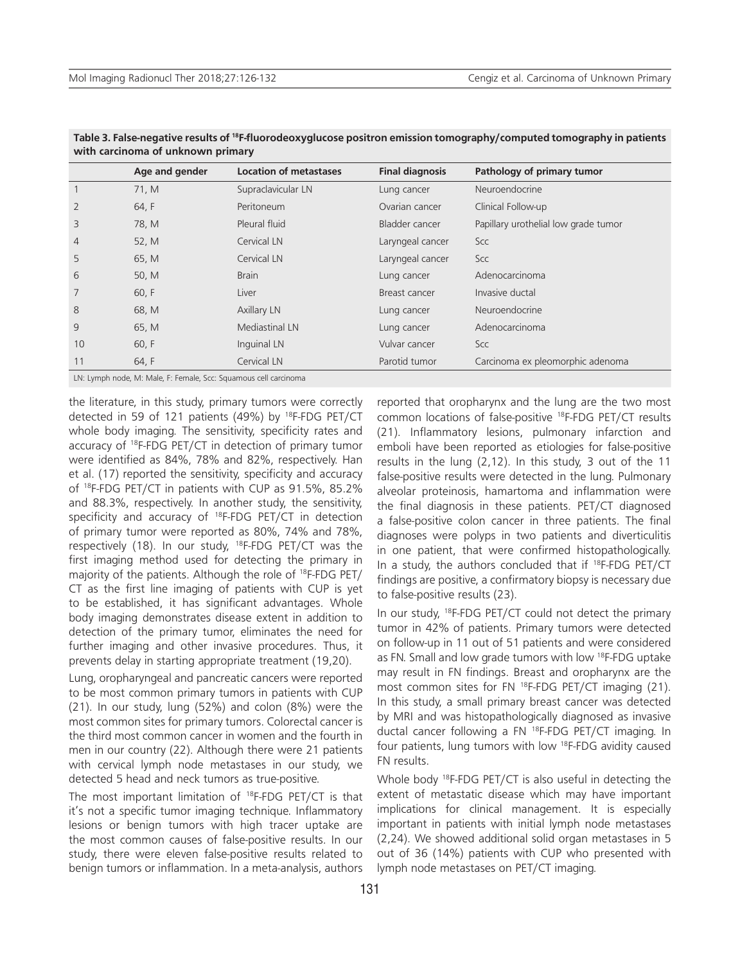|                                                                  | Age and gender | <b>Location of metastases</b> | <b>Final diagnosis</b> | Pathology of primary tumor           |
|------------------------------------------------------------------|----------------|-------------------------------|------------------------|--------------------------------------|
|                                                                  | 71, M          | Supraclavicular LN            | Lung cancer            | Neuroendocrine                       |
| $\overline{2}$                                                   | 64, F          | Peritoneum                    | Ovarian cancer         | Clinical Follow-up                   |
| 3                                                                | 78, M          | Pleural fluid                 | Bladder cancer         | Papillary urothelial low grade tumor |
| $\overline{4}$                                                   | 52, M          | Cervical LN                   | Laryngeal cancer       | Scc                                  |
| 5                                                                | 65, M          | Cervical LN                   | Laryngeal cancer       | Scc                                  |
| 6                                                                | 50, M          | <b>Brain</b>                  | Lung cancer            | Adenocarcinoma                       |
| 7                                                                | 60, F          | Liver                         | Breast cancer          | Invasive ductal                      |
| 8                                                                | 68, M          | Axillary LN                   | Lung cancer            | Neuroendocrine                       |
| 9                                                                | 65, M          | Mediastinal LN                | Lung cancer            | Adenocarcinoma                       |
| 10                                                               | 60, F          | Inquinal LN                   | Vulvar cancer          | Scc                                  |
| 11                                                               | 64, F          | Cervical LN                   | Parotid tumor          | Carcinoma ex pleomorphic adenoma     |
| LN: Lymph node, M: Male, F: Female, Scc: Squamous cell carcinoma |                |                               |                        |                                      |

**Table 3. False-negative results of 18F-fluorodeoxyglucose positron emission tomography/computed tomography in patients with carcinoma of unknown primary**

the literature, in this study, primary tumors were correctly detected in 59 of 121 patients (49%) by <sup>18</sup>F-FDG PET/CT whole body imaging. The sensitivity, specificity rates and accuracy of 18F-FDG PET/CT in detection of primary tumor were identified as 84%, 78% and 82%, respectively. Han et al. (17) reported the sensitivity, specificity and accuracy of 18F-FDG PET/CT in patients with CUP as 91.5%, 85.2% and 88.3%, respectively. In another study, the sensitivity, specificity and accuracy of <sup>18</sup>F-FDG PET/CT in detection of primary tumor were reported as 80%, 74% and 78%, respectively (18). In our study, <sup>18</sup>F-FDG PET/CT was the first imaging method used for detecting the primary in majority of the patients. Although the role of 18F-FDG PET/ CT as the first line imaging of patients with CUP is yet to be established, it has significant advantages. Whole body imaging demonstrates disease extent in addition to detection of the primary tumor, eliminates the need for further imaging and other invasive procedures. Thus, it prevents delay in starting appropriate treatment (19,20).

Lung, oropharyngeal and pancreatic cancers were reported to be most common primary tumors in patients with CUP (21). In our study, lung (52%) and colon (8%) were the most common sites for primary tumors. Colorectal cancer is the third most common cancer in women and the fourth in men in our country (22). Although there were 21 patients with cervical lymph node metastases in our study, we detected 5 head and neck tumors as true-positive.

The most important limitation of <sup>18</sup>F-FDG PET/CT is that it's not a specific tumor imaging technique. Inflammatory lesions or benign tumors with high tracer uptake are the most common causes of false-positive results. In our study, there were eleven false-positive results related to benign tumors or inflammation. In a meta-analysis, authors reported that oropharynx and the lung are the two most common locations of false-positive 18F-FDG PET/CT results (21). Inflammatory lesions, pulmonary infarction and emboli have been reported as etiologies for false-positive results in the lung (2,12). In this study, 3 out of the 11 false-positive results were detected in the lung. Pulmonary alveolar proteinosis, hamartoma and inflammation were the final diagnosis in these patients. PET/CT diagnosed a false-positive colon cancer in three patients. The final diagnoses were polyps in two patients and diverticulitis in one patient, that were confirmed histopathologically. In a study, the authors concluded that if 18F-FDG PET/CT findings are positive, a confirmatory biopsy is necessary due to false-positive results (23).

In our study, 18F-FDG PET/CT could not detect the primary tumor in 42% of patients. Primary tumors were detected on follow-up in 11 out of 51 patients and were considered as FN. Small and low grade tumors with low 18F-FDG uptake may result in FN findings. Breast and oropharynx are the most common sites for FN 18F-FDG PET/CT imaging (21). In this study, a small primary breast cancer was detected by MRI and was histopathologically diagnosed as invasive ductal cancer following a FN 18F-FDG PET/CT imaging. In four patients, lung tumors with low 18F-FDG avidity caused FN results.

Whole body 18F-FDG PET/CT is also useful in detecting the extent of metastatic disease which may have important implications for clinical management. It is especially important in patients with initial lymph node metastases (2,24). We showed additional solid organ metastases in 5 out of 36 (14%) patients with CUP who presented with lymph node metastases on PET/CT imaging.